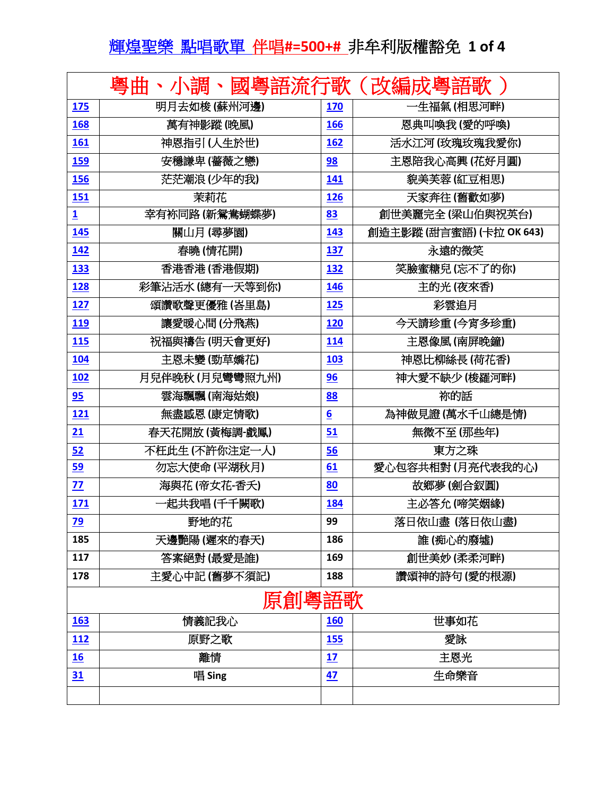## 輝煌聖樂點唱歌單伴唱**#=500+#** 非牟利版權豁免 **1 of 4**

|                         | 粵曲<br>、小調       |                  | 國粵語流行歌(改編成粵語歌            |  |  |
|-------------------------|-----------------|------------------|--------------------------|--|--|
| 175                     | 明月去如梭 (蘇州河邊)    | 170              | 一生福氣(相思河畔)               |  |  |
| 168                     | 萬有神影蹤 (晚風)      | 166              | 恩典叫喚我(愛的呼喚)              |  |  |
| 161                     | 神恩指引(人生於世)      | 162              | 活水江河 (玫瑰玫瑰我愛你)           |  |  |
| <b>159</b>              | 安穩謙卑(薔薇之戀)      | 98               | 主恩陪我心高興(花好月圓)            |  |  |
| 156                     | 茫茫潮浪(少年的我)      | 141              | 貌美芙蓉(紅豆相思)               |  |  |
| <b>151</b>              | 茉莉花             | 126              | 天家奔往(舊歡如夢)               |  |  |
| $\overline{\mathbf{1}}$ | 幸有袮同路(新鴛鴦蝴蝶夢)   | 83               | 創世美麗完全 (梁山伯與祝英台)         |  |  |
| 145                     | 關山月 (尋夢園)       | 143              | 創造主影蹤 (甜言蜜語) (卡拉 OK 643) |  |  |
| 142                     | 春曉(情花開)         | 137              | 永遠的微笑                    |  |  |
| 133                     | 香港香港(香港假期)      | 132              | 笑臉蜜糖兒 (忘不了的你)            |  |  |
| 128                     | 彩筆沾活水 (總有一天等到你) | 146              | 主的光(夜來香)                 |  |  |
| 127                     | 頌讚歌聲更優雅(峇里島)    | 125              | 彩雲追月                     |  |  |
| 119                     | 讓愛暖心間(分飛燕)      | 120              | 今天請珍重(今宵多珍重)             |  |  |
| <b>115</b>              | 祝福與禱告(明天會更好)    | 114              | 主恩像風(南屏晚鐘)               |  |  |
| 104                     | 主恩未變(勁草嬌花)      | 103              | 神恩比柳絲長(荷花香)              |  |  |
| 102                     | 月兒伴晚秋(月兒彎彎照九州)  | 96               | 神大愛不缺少 (梭羅河畔)            |  |  |
| 95                      | 雲海飄飄 (南海姑娘)     | 88               | 祢的話                      |  |  |
| <b>121</b>              | 無盡感恩(康定情歌)      | $6 \overline{6}$ | 為神做見證(萬水千山總是情)           |  |  |
| 21                      | 春天花開放(黃梅調-戲鳳)   | 51               | 無微不至(那些年)                |  |  |
| 52                      | 不枉此生(不許你注定一人)   | 56               | 東方之珠                     |  |  |
| <u>59</u>               | 勿忘大使命(平湖秋月)     | 61               | 愛心包容共相對(月亮代表我的心)         |  |  |
| 77                      | 海與花(帝女花-香夭)     | 80               | 故鄉夢(劍合釵圓)                |  |  |
| 171                     | -起共我唱(千千闕歌)     | 184              | 主必答允(啼笑姻緣)               |  |  |
| 79                      | 野地的花            | 99               | 落日依山盡 (落日依山盡)            |  |  |
| 185                     | 天邊艷陽(遲來的春天)     | 186              | 誰 (痴心的廢墟)                |  |  |
| 117                     | 答案絕對(最愛是誰)      | 169              | 創世美妙(柔柔河畔)               |  |  |
| 178                     | 主愛心中記(舊夢不須記)    | 188              | 讚頌神的詩句(愛的根源)             |  |  |
| 原創粵語歌                   |                 |                  |                          |  |  |
| 163                     | 情義記我心           | <b>160</b>       | 世事如花                     |  |  |
| <u>112</u>              | 原野之歌            | <b>155</b>       | 愛詠                       |  |  |
| 16                      | 離情              | 17               | 主恩光                      |  |  |
| 31                      | 唱 Sing          | 47               | 生命樂音                     |  |  |
|                         |                 |                  |                          |  |  |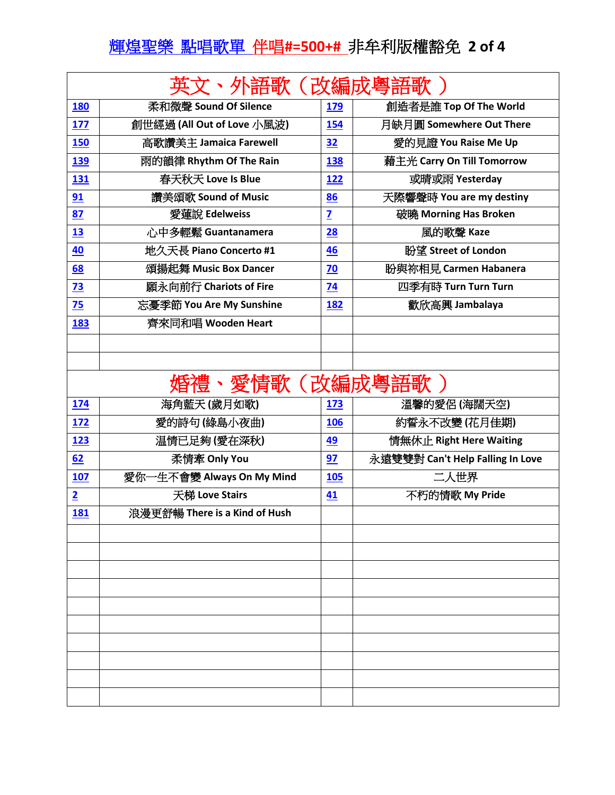## 輝煌聖樂點唱歌單伴唱**#=500+#** 非牟利版權豁免 **2 of 4**

|                |                                |                | <b>卜語歌 (改編成粵語歌</b>               |
|----------------|--------------------------------|----------------|----------------------------------|
| <b>180</b>     | 柔和微聲 Sound Of Silence          | <b>179</b>     | 創造者是誰 Top Of The World           |
| 177            | 創世經過 (All Out of Love 小風波)     | 154            | 月缺月圓 Somewhere Out There         |
| 150            | 高歌讚美主 Jamaica Farewell         | 32             | 愛的見證 You Raise Me Up             |
| 139            | <b>兩的韻律 Rhythm Of The Rain</b> | 138            | 藉主光 Carry On Till Tomorrow       |
| 131            | 春天秋天 Love Is Blue              | 122            | 或晴或雨 Yesterday                   |
| 91             | 讚美頌歌 Sound of Music            | 86             | 天際響聲時 You are my destiny         |
| 87             | 愛蓮說 Edelweiss                  | $\overline{z}$ | 破曉 Morning Has Broken            |
| 13             | 心中多輕鬆 Guantanamera             | 28             | 風的歌聲 Kaze                        |
| 40             | 地久天長 Piano Concerto #1         | 46             | 盼望 Street of London              |
| 68             | 頌揚起舞 Music Box Dancer          | 70             | 盼與祢相見 Carmen Habanera            |
| 73             | 願永向前行 Chariots of Fire         | 74             | 四季有時 Turn Turn Turn              |
| 75             | 忘憂季節 You Are My Sunshine       | 182            | 歡欣高興 Jambalaya                   |
| 183            | 齊來同和唱 Wooden Heart             |                |                                  |
|                |                                |                |                                  |
|                |                                |                |                                  |
|                | 昏禮、愛情歌(改編成粵語歌 )                |                |                                  |
| 174            | 海角藍天(歲月如歌)                     | 173            | 溫馨的愛侶 (海闊天空)                     |
| 172            | 愛的詩句(綠島小夜曲)                    | 106            | <i></i> 数誓永不改變(花月佳期)             |
| 123            | 温情已足夠(愛在深秋)                    | 49             | 情無休止 Right Here Waiting          |
| 62             | 柔情牽 Only You                   | 97             | 永遠雙雙對 Can't Help Falling In Love |
| 107            | 愛你一生不會變 Always On My Mind      | 105            | 二人世界                             |
| $\overline{2}$ | 天梯 Love Stairs                 | 41             | 不朽的情歌 My Pride                   |
| 181            | 浪漫更舒暢 There is a Kind of Hush  |                |                                  |
|                |                                |                |                                  |
|                |                                |                |                                  |
|                |                                |                |                                  |
|                |                                |                |                                  |
|                |                                |                |                                  |
|                |                                |                |                                  |
|                |                                |                |                                  |
|                |                                |                |                                  |
|                |                                |                |                                  |
|                |                                |                |                                  |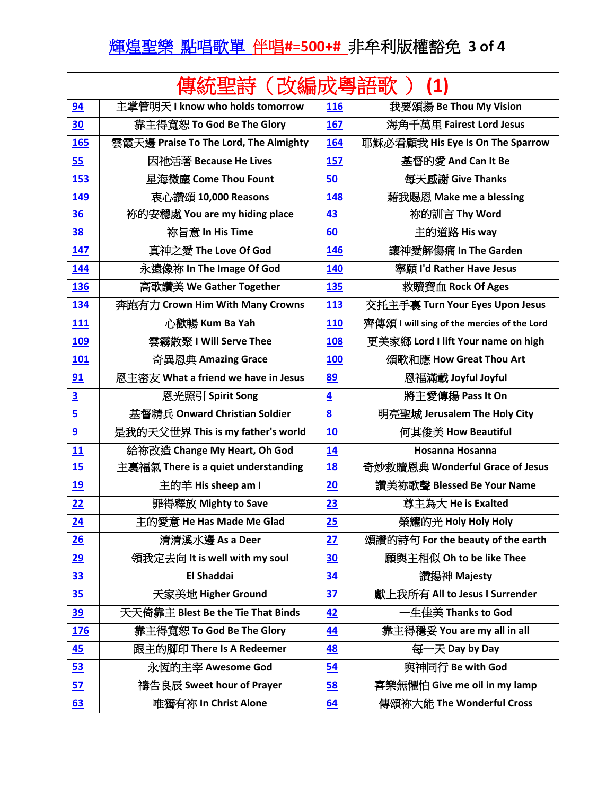## 輝煌聖樂點唱歌單伴唱**#=500+#** 非牟利版權豁免 **3 of 4**

| 傳統聖詩(改編成粵語歌<br>(1)      |                                       |                 |                                            |  |
|-------------------------|---------------------------------------|-----------------|--------------------------------------------|--|
| 94                      | 主掌管明天 I know who holds tomorrow       | 116             | 我要頌揚 Be Thou My Vision                     |  |
| 30                      | 靠主得寬恕 To God Be The Glory             | 167             | 海角千萬里 Fairest Lord Jesus                   |  |
| 165                     | 雲霞天邊 Praise To The Lord, The Almighty | 164             | 耶穌必看顧我 His Eye Is On The Sparrow           |  |
| 55                      | 因祂活著 Because He Lives                 | <b>157</b>      | 基督的愛 And Can It Be                         |  |
| <b>153</b>              | 星海微塵 Come Thou Fount                  | 50              | 每天感謝 Give Thanks                           |  |
| 149                     | 衷心讚頌 10,000 Reasons                   | 148             | 藉我賜恩 Make me a blessing                    |  |
| 36                      | 袮的安穩處 You are my hiding place         | 43              | 祢的訓言 Thy Word                              |  |
| <u>38</u>               | 祢旨意 In His Time                       | 60              | 主的道路 His way                               |  |
| 147                     | 真神之愛 The Love Of God                  | 146             | 護神愛解傷痛 In The Garden                       |  |
| 144                     | 永遠像祢 In The Image Of God              | 140             | 寧願 I'd Rather Have Jesus                   |  |
| 136                     | 高歌讚美 We Gather Together               | 135             | 救贖寶血 Rock Of Ages                          |  |
| 134                     | 奔跑有力 Crown Him With Many Crowns       | 113             | 交托主手裏 Turn Your Eyes Upon Jesus            |  |
| 111                     | 心歡暢 Kum Ba Yah                        | <b>110</b>      | 齊傳頌 I will sing of the mercies of the Lord |  |
| <b>109</b>              | 雲霧散聚 I Will Serve Thee                | <b>108</b>      | 更美家鄉 Lord I lift Your name on high         |  |
| 101                     | 奇異恩典 Amazing Grace                    | <b>100</b>      | 頌歌和應 How Great Thou Art                    |  |
| 91                      | 恩主密友 What a friend we have in Jesus   | 89              | 恩福滿載 Joyful Joyful                         |  |
| $\overline{\mathbf{3}}$ | 恩光照引 Spirit Song                      | $\overline{4}$  | 將主愛傳揚 Pass It On                           |  |
| $\overline{\mathbf{5}}$ | 基督精兵 Onward Christian Soldier         | $\underline{8}$ | 明亮聖城 Jerusalem The Holy City               |  |
| $\overline{9}$          | 是我的天父世界 This is my father's world     | 10              | 何其俊美 How Beautiful                         |  |
| 11                      | 給祢改造 Change My Heart, Oh God          | 14              | Hosanna Hosanna                            |  |
| 15                      | 主裏福氣 There is a quiet understanding   | <u>18</u>       | 奇妙救贖恩典 Wonderful Grace of Jesus            |  |
| <u>19</u>               | 主的羊 His sheep am I                    | 20              | 讚美祢歌聲 Blessed Be Your Name                 |  |
| 22                      | 罪得釋放 Mighty to Save                   | 23              | 尊主為大 He is Exalted                         |  |
| 24                      | 主的愛意 He Has Made Me Glad              | 25              | 榮耀的光 Holy Holy Holy                        |  |
| 26                      | 清清溪水邊 As a Deer                       | 27              | 頌讚的詩句 For the beauty of the earth          |  |
| 29                      | 領我定去向 It is well with my soul         | 30              | 願與主相似 Oh to be like Thee                   |  |
| 33                      | <b>El Shaddai</b>                     | <u>34</u>       | 讚揚神 Majesty                                |  |
| 35                      | 天家美地 Higher Ground                    | <b>37</b>       | 獻上我所有 All to Jesus I Surrender             |  |
| <u>39</u>               | 天天倚靠主 Blest Be the Tie That Binds     | 42              | 一生佳美 Thanks to God                         |  |
| <b>176</b>              | 靠主得寬恕 To God Be The Glory             | 44              | 靠主得穩妥 You are my all in all                |  |
| 45                      | 跟主的腳印 There Is A Redeemer             | 48              | 每一天 Day by Day                             |  |
| 53                      | 永恆的主宰 Awesome God                     | 54              | 與神同行 Be with God                           |  |
| 57                      | 禱告良辰 Sweet hour of Prayer             | 58              | 喜樂無懼怕 Give me oil in my lamp               |  |
| 63                      | 唯獨有祢 In Christ Alone                  | 64              | 傳頌祢大能 The Wonderful Cross                  |  |